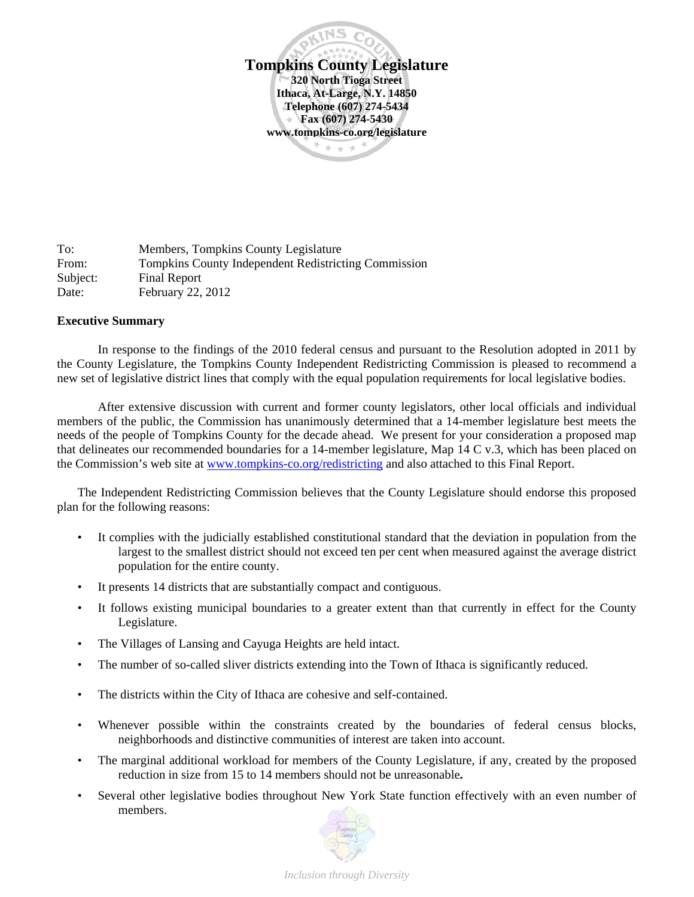

To: Members, Tompkins County Legislature From: Tompkins County Independent Redistricting Commission Subject: Final Report Date: February 22, 2012

#### **Executive Summary**

In response to the findings of the 2010 federal census and pursuant to the Resolution adopted in 2011 by the County Legislature, the Tompkins County Independent Redistricting Commission is pleased to recommend a new set of legislative district lines that comply with the equal population requirements for local legislative bodies.

 After extensive discussion with current and former county legislators, other local officials and individual members of the public, the Commission has unanimously determined that a 14-member legislature best meets the needs of the people of Tompkins County for the decade ahead. We present for your consideration a proposed map that delineates our recommended boundaries for a 14-member legislature, Map 14 C v.3, which has been placed on the Commission's web site at www.tompkins-co.org/redistricting and also attached to this Final Report.

The Independent Redistricting Commission believes that the County Legislature should endorse this proposed plan for the following reasons:

- It complies with the judicially established constitutional standard that the deviation in population from the largest to the smallest district should not exceed ten per cent when measured against the average district population for the entire county.
- It presents 14 districts that are substantially compact and contiguous.
- It follows existing municipal boundaries to a greater extent than that currently in effect for the County Legislature.
- The Villages of Lansing and Cayuga Heights are held intact.
- The number of so-called sliver districts extending into the Town of Ithaca is significantly reduced.
- The districts within the City of Ithaca are cohesive and self-contained.
- Whenever possible within the constraints created by the boundaries of federal census blocks, neighborhoods and distinctive communities of interest are taken into account.
- The marginal additional workload for members of the County Legislature, if any, created by the proposed reduction in size from 15 to 14 members should not be unreasonable**.**
- Several other legislative bodies throughout New York State function effectively with an even number of members.

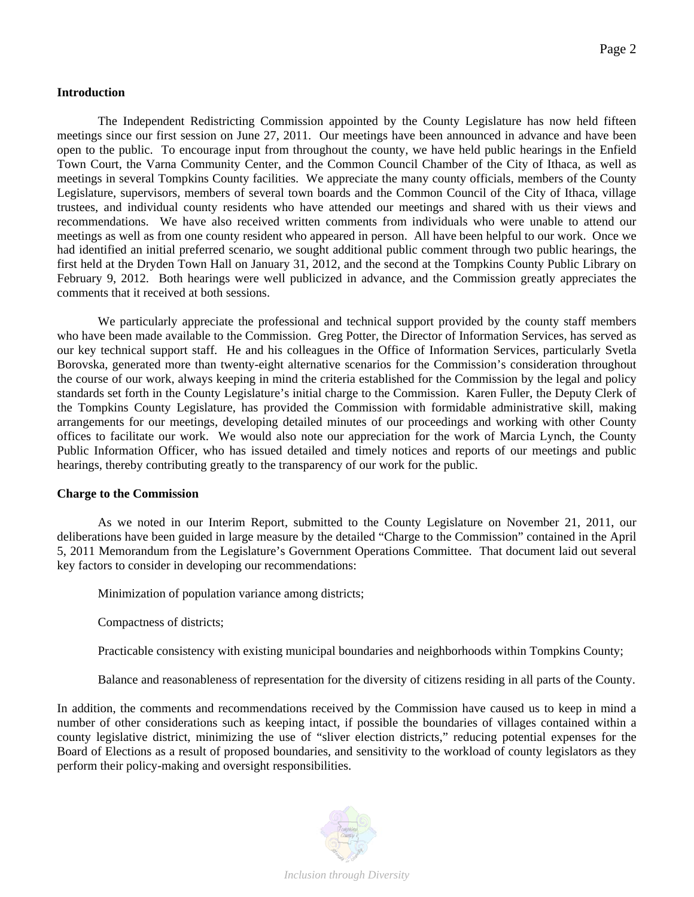## **Introduction**

The Independent Redistricting Commission appointed by the County Legislature has now held fifteen meetings since our first session on June 27, 2011. Our meetings have been announced in advance and have been open to the public. To encourage input from throughout the county, we have held public hearings in the Enfield Town Court, the Varna Community Center, and the Common Council Chamber of the City of Ithaca, as well as meetings in several Tompkins County facilities. We appreciate the many county officials, members of the County Legislature, supervisors, members of several town boards and the Common Council of the City of Ithaca, village trustees, and individual county residents who have attended our meetings and shared with us their views and recommendations. We have also received written comments from individuals who were unable to attend our meetings as well as from one county resident who appeared in person. All have been helpful to our work. Once we had identified an initial preferred scenario, we sought additional public comment through two public hearings, the first held at the Dryden Town Hall on January 31, 2012, and the second at the Tompkins County Public Library on February 9, 2012. Both hearings were well publicized in advance, and the Commission greatly appreciates the comments that it received at both sessions.

We particularly appreciate the professional and technical support provided by the county staff members who have been made available to the Commission. Greg Potter, the Director of Information Services, has served as our key technical support staff. He and his colleagues in the Office of Information Services, particularly Svetla Borovska, generated more than twenty-eight alternative scenarios for the Commission's consideration throughout the course of our work, always keeping in mind the criteria established for the Commission by the legal and policy standards set forth in the County Legislature's initial charge to the Commission. Karen Fuller, the Deputy Clerk of the Tompkins County Legislature, has provided the Commission with formidable administrative skill, making arrangements for our meetings, developing detailed minutes of our proceedings and working with other County offices to facilitate our work. We would also note our appreciation for the work of Marcia Lynch, the County Public Information Officer, who has issued detailed and timely notices and reports of our meetings and public hearings, thereby contributing greatly to the transparency of our work for the public.

#### **Charge to the Commission**

As we noted in our Interim Report, submitted to the County Legislature on November 21, 2011, our deliberations have been guided in large measure by the detailed "Charge to the Commission" contained in the April 5, 2011 Memorandum from the Legislature's Government Operations Committee. That document laid out several key factors to consider in developing our recommendations:

Minimization of population variance among districts;

Compactness of districts;

Practicable consistency with existing municipal boundaries and neighborhoods within Tompkins County;

Balance and reasonableness of representation for the diversity of citizens residing in all parts of the County.

In addition, the comments and recommendations received by the Commission have caused us to keep in mind a number of other considerations such as keeping intact, if possible the boundaries of villages contained within a county legislative district, minimizing the use of "sliver election districts," reducing potential expenses for the Board of Elections as a result of proposed boundaries, and sensitivity to the workload of county legislators as they perform their policy-making and oversight responsibilities.

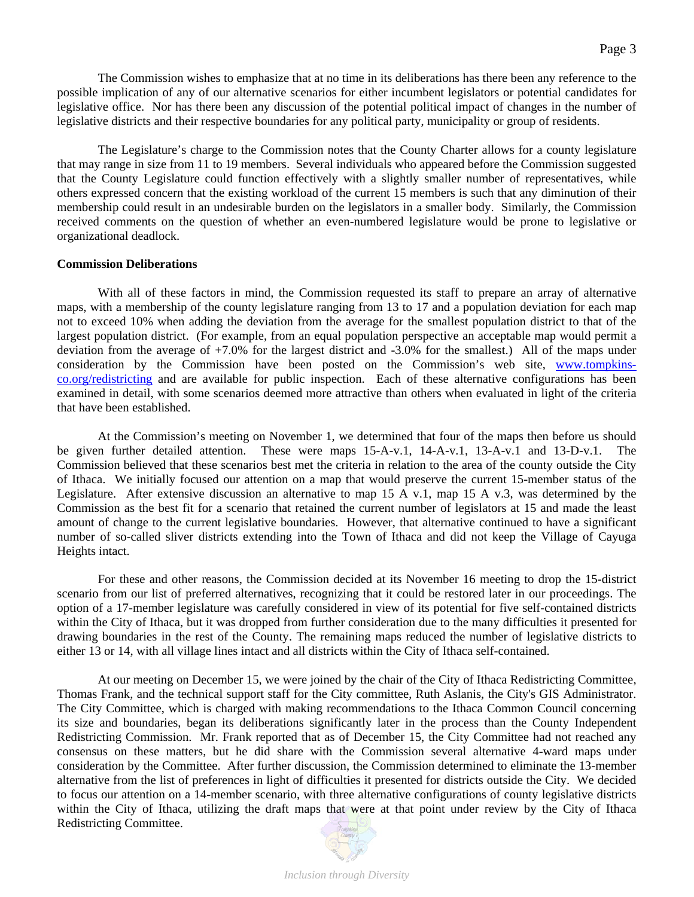The Commission wishes to emphasize that at no time in its deliberations has there been any reference to the possible implication of any of our alternative scenarios for either incumbent legislators or potential candidates for legislative office. Nor has there been any discussion of the potential political impact of changes in the number of legislative districts and their respective boundaries for any political party, municipality or group of residents.

The Legislature's charge to the Commission notes that the County Charter allows for a county legislature that may range in size from 11 to 19 members. Several individuals who appeared before the Commission suggested that the County Legislature could function effectively with a slightly smaller number of representatives, while others expressed concern that the existing workload of the current 15 members is such that any diminution of their membership could result in an undesirable burden on the legislators in a smaller body. Similarly, the Commission received comments on the question of whether an even-numbered legislature would be prone to legislative or organizational deadlock.

#### **Commission Deliberations**

With all of these factors in mind, the Commission requested its staff to prepare an array of alternative maps, with a membership of the county legislature ranging from 13 to 17 and a population deviation for each map not to exceed 10% when adding the deviation from the average for the smallest population district to that of the largest population district. (For example, from an equal population perspective an acceptable map would permit a deviation from the average of +7.0% for the largest district and -3.0% for the smallest.) All of the maps under consideration by the Commission have been posted on the Commission's web site, www.tompkinsco.org/redistricting and are available for public inspection. Each of these alternative configurations has been examined in detail, with some scenarios deemed more attractive than others when evaluated in light of the criteria that have been established.

 At the Commission's meeting on November 1, we determined that four of the maps then before us should be given further detailed attention. These were maps 15-A-v.1, 14-A-v.1, 13-A-v.1 and 13-D-v.1. The Commission believed that these scenarios best met the criteria in relation to the area of the county outside the City of Ithaca. We initially focused our attention on a map that would preserve the current 15-member status of the Legislature. After extensive discussion an alternative to map  $15 \text{ A}$  v.1, map  $15 \text{ A}$  v.3, was determined by the Commission as the best fit for a scenario that retained the current number of legislators at 15 and made the least amount of change to the current legislative boundaries. However, that alternative continued to have a significant number of so-called sliver districts extending into the Town of Ithaca and did not keep the Village of Cayuga Heights intact.

For these and other reasons, the Commission decided at its November 16 meeting to drop the 15-district scenario from our list of preferred alternatives, recognizing that it could be restored later in our proceedings. The option of a 17-member legislature was carefully considered in view of its potential for five self-contained districts within the City of Ithaca, but it was dropped from further consideration due to the many difficulties it presented for drawing boundaries in the rest of the County. The remaining maps reduced the number of legislative districts to either 13 or 14, with all village lines intact and all districts within the City of Ithaca self-contained.

At our meeting on December 15, we were joined by the chair of the City of Ithaca Redistricting Committee, Thomas Frank, and the technical support staff for the City committee, Ruth Aslanis, the City's GIS Administrator. The City Committee, which is charged with making recommendations to the Ithaca Common Council concerning its size and boundaries, began its deliberations significantly later in the process than the County Independent Redistricting Commission. Mr. Frank reported that as of December 15, the City Committee had not reached any consensus on these matters, but he did share with the Commission several alternative 4-ward maps under consideration by the Committee. After further discussion, the Commission determined to eliminate the 13-member alternative from the list of preferences in light of difficulties it presented for districts outside the City. We decided to focus our attention on a 14-member scenario, with three alternative configurations of county legislative districts within the City of Ithaca, utilizing the draft maps that were at that point under review by the City of Ithaca Redistricting Committee.

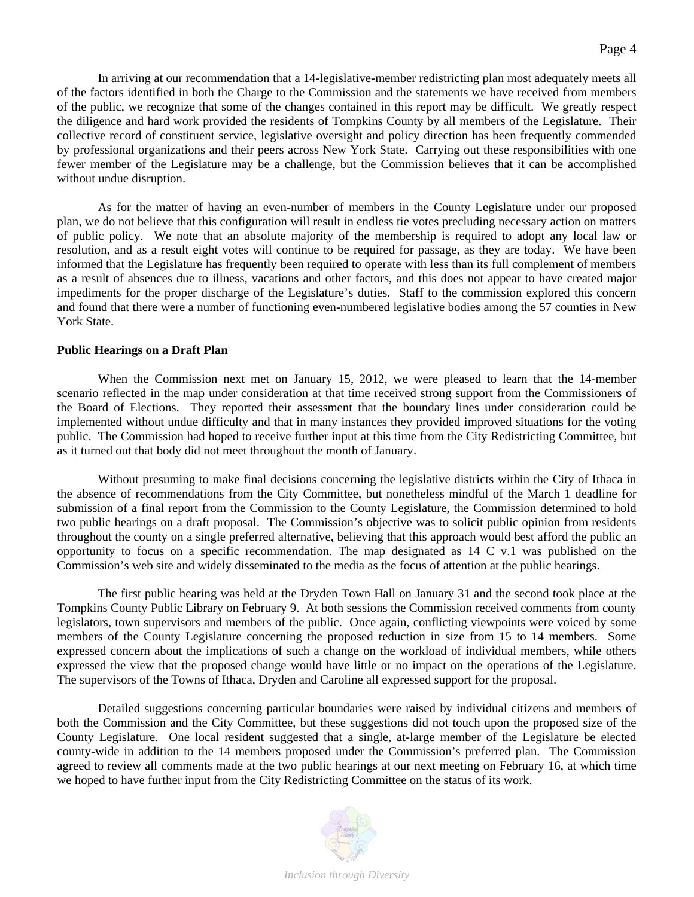In arriving at our recommendation that a 14-legislative-member redistricting plan most adequately meets all of the factors identified in both the Charge to the Commission and the statements we have received from members of the public, we recognize that some of the changes contained in this report may be difficult. We greatly respect the diligence and hard work provided the residents of Tompkins County by all members of the Legislature. Their collective record of constituent service, legislative oversight and policy direction has been frequently commended by professional organizations and their peers across New York State. Carrying out these responsibilities with one fewer member of the Legislature may be a challenge, but the Commission believes that it can be accomplished without undue disruption.

As for the matter of having an even-number of members in the County Legislature under our proposed plan, we do not believe that this configuration will result in endless tie votes precluding necessary action on matters of public policy. We note that an absolute majority of the membership is required to adopt any local law or resolution, and as a result eight votes will continue to be required for passage, as they are today. We have been informed that the Legislature has frequently been required to operate with less than its full complement of members as a result of absences due to illness, vacations and other factors, and this does not appear to have created major impediments for the proper discharge of the Legislature's duties. Staff to the commission explored this concern and found that there were a number of functioning even-numbered legislative bodies among the 57 counties in New York State.

# **Public Hearings on a Draft Plan**

 When the Commission next met on January 15, 2012, we were pleased to learn that the 14-member scenario reflected in the map under consideration at that time received strong support from the Commissioners of the Board of Elections. They reported their assessment that the boundary lines under consideration could be implemented without undue difficulty and that in many instances they provided improved situations for the voting public. The Commission had hoped to receive further input at this time from the City Redistricting Committee, but as it turned out that body did not meet throughout the month of January.

Without presuming to make final decisions concerning the legislative districts within the City of Ithaca in the absence of recommendations from the City Committee, but nonetheless mindful of the March 1 deadline for submission of a final report from the Commission to the County Legislature, the Commission determined to hold two public hearings on a draft proposal. The Commission's objective was to solicit public opinion from residents throughout the county on a single preferred alternative, believing that this approach would best afford the public an opportunity to focus on a specific recommendation. The map designated as 14 C v.1 was published on the Commission's web site and widely disseminated to the media as the focus of attention at the public hearings.

 The first public hearing was held at the Dryden Town Hall on January 31 and the second took place at the Tompkins County Public Library on February 9. At both sessions the Commission received comments from county legislators, town supervisors and members of the public. Once again, conflicting viewpoints were voiced by some members of the County Legislature concerning the proposed reduction in size from 15 to 14 members. Some expressed concern about the implications of such a change on the workload of individual members, while others expressed the view that the proposed change would have little or no impact on the operations of the Legislature. The supervisors of the Towns of Ithaca, Dryden and Caroline all expressed support for the proposal.

Detailed suggestions concerning particular boundaries were raised by individual citizens and members of both the Commission and the City Committee, but these suggestions did not touch upon the proposed size of the County Legislature. One local resident suggested that a single, at-large member of the Legislature be elected county-wide in addition to the 14 members proposed under the Commission's preferred plan. The Commission agreed to review all comments made at the two public hearings at our next meeting on February 16, at which time we hoped to have further input from the City Redistricting Committee on the status of its work.

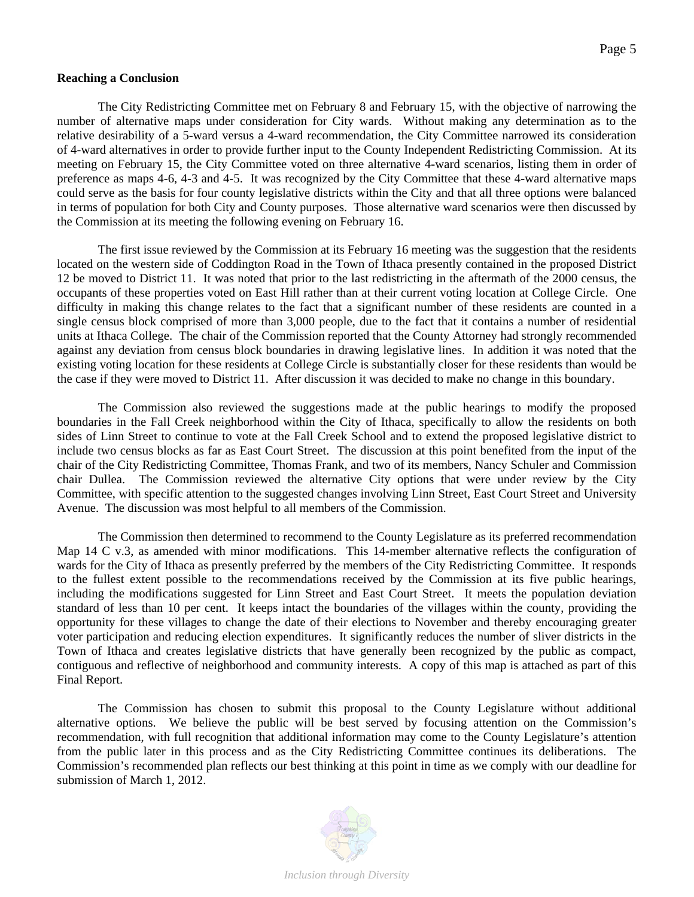## **Reaching a Conclusion**

 The City Redistricting Committee met on February 8 and February 15, with the objective of narrowing the number of alternative maps under consideration for City wards. Without making any determination as to the relative desirability of a 5-ward versus a 4-ward recommendation, the City Committee narrowed its consideration of 4-ward alternatives in order to provide further input to the County Independent Redistricting Commission. At its meeting on February 15, the City Committee voted on three alternative 4-ward scenarios, listing them in order of preference as maps 4-6, 4-3 and 4-5. It was recognized by the City Committee that these 4-ward alternative maps could serve as the basis for four county legislative districts within the City and that all three options were balanced in terms of population for both City and County purposes. Those alternative ward scenarios were then discussed by the Commission at its meeting the following evening on February 16.

 The first issue reviewed by the Commission at its February 16 meeting was the suggestion that the residents located on the western side of Coddington Road in the Town of Ithaca presently contained in the proposed District 12 be moved to District 11. It was noted that prior to the last redistricting in the aftermath of the 2000 census, the occupants of these properties voted on East Hill rather than at their current voting location at College Circle. One difficulty in making this change relates to the fact that a significant number of these residents are counted in a single census block comprised of more than 3,000 people, due to the fact that it contains a number of residential units at Ithaca College. The chair of the Commission reported that the County Attorney had strongly recommended against any deviation from census block boundaries in drawing legislative lines. In addition it was noted that the existing voting location for these residents at College Circle is substantially closer for these residents than would be the case if they were moved to District 11. After discussion it was decided to make no change in this boundary.

 The Commission also reviewed the suggestions made at the public hearings to modify the proposed boundaries in the Fall Creek neighborhood within the City of Ithaca, specifically to allow the residents on both sides of Linn Street to continue to vote at the Fall Creek School and to extend the proposed legislative district to include two census blocks as far as East Court Street. The discussion at this point benefited from the input of the chair of the City Redistricting Committee, Thomas Frank, and two of its members, Nancy Schuler and Commission chair Dullea. The Commission reviewed the alternative City options that were under review by the City Committee, with specific attention to the suggested changes involving Linn Street, East Court Street and University Avenue. The discussion was most helpful to all members of the Commission.

 The Commission then determined to recommend to the County Legislature as its preferred recommendation Map 14 C v.3, as amended with minor modifications. This 14-member alternative reflects the configuration of wards for the City of Ithaca as presently preferred by the members of the City Redistricting Committee. It responds to the fullest extent possible to the recommendations received by the Commission at its five public hearings, including the modifications suggested for Linn Street and East Court Street. It meets the population deviation standard of less than 10 per cent. It keeps intact the boundaries of the villages within the county, providing the opportunity for these villages to change the date of their elections to November and thereby encouraging greater voter participation and reducing election expenditures. It significantly reduces the number of sliver districts in the Town of Ithaca and creates legislative districts that have generally been recognized by the public as compact, contiguous and reflective of neighborhood and community interests. A copy of this map is attached as part of this Final Report.

 The Commission has chosen to submit this proposal to the County Legislature without additional alternative options. We believe the public will be best served by focusing attention on the Commission's recommendation, with full recognition that additional information may come to the County Legislature's attention from the public later in this process and as the City Redistricting Committee continues its deliberations. The Commission's recommended plan reflects our best thinking at this point in time as we comply with our deadline for submission of March 1, 2012.

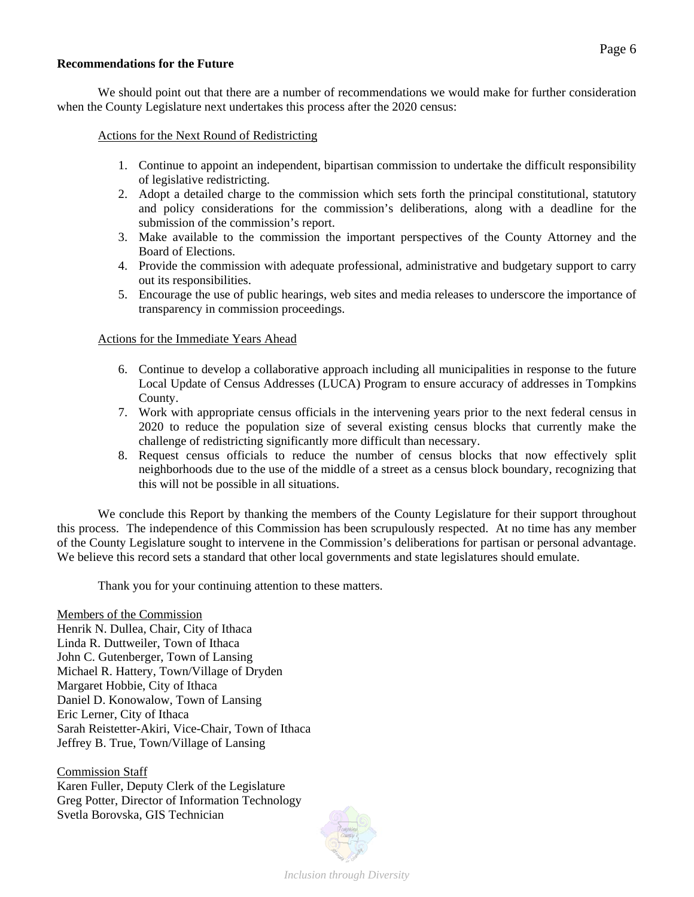## **Recommendations for the Future**

 We should point out that there are a number of recommendations we would make for further consideration when the County Legislature next undertakes this process after the 2020 census:

Actions for the Next Round of Redistricting

- 1. Continue to appoint an independent, bipartisan commission to undertake the difficult responsibility of legislative redistricting.
- 2. Adopt a detailed charge to the commission which sets forth the principal constitutional, statutory and policy considerations for the commission's deliberations, along with a deadline for the submission of the commission's report.
- 3. Make available to the commission the important perspectives of the County Attorney and the Board of Elections.
- 4. Provide the commission with adequate professional, administrative and budgetary support to carry out its responsibilities.
- 5. Encourage the use of public hearings, web sites and media releases to underscore the importance of transparency in commission proceedings.

Actions for the Immediate Years Ahead

- 6. Continue to develop a collaborative approach including all municipalities in response to the future Local Update of Census Addresses (LUCA) Program to ensure accuracy of addresses in Tompkins County.
- 7. Work with appropriate census officials in the intervening years prior to the next federal census in 2020 to reduce the population size of several existing census blocks that currently make the challenge of redistricting significantly more difficult than necessary.
- 8. Request census officials to reduce the number of census blocks that now effectively split neighborhoods due to the use of the middle of a street as a census block boundary, recognizing that this will not be possible in all situations.

We conclude this Report by thanking the members of the County Legislature for their support throughout this process. The independence of this Commission has been scrupulously respected. At no time has any member of the County Legislature sought to intervene in the Commission's deliberations for partisan or personal advantage. We believe this record sets a standard that other local governments and state legislatures should emulate.

Thank you for your continuing attention to these matters.

Members of the Commission Henrik N. Dullea, Chair, City of Ithaca Linda R. Duttweiler, Town of Ithaca John C. Gutenberger, Town of Lansing Michael R. Hattery, Town/Village of Dryden Margaret Hobbie, City of Ithaca Daniel D. Konowalow, Town of Lansing Eric Lerner, City of Ithaca Sarah Reistetter-Akiri, Vice-Chair, Town of Ithaca Jeffrey B. True, Town/Village of Lansing

Commission Staff Karen Fuller, Deputy Clerk of the Legislature Greg Potter, Director of Information Technology Svetla Borovska, GIS Technician